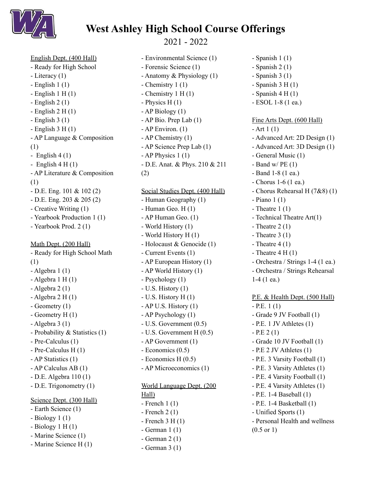

## **West Ashley High School Course Offerings**

2021 - 2022

English Dept. (400 Hall) - Ready for High School - Literacy (1)  $-$  English 1 (1)  $-$  English 1 H $(1)$ - English 2 (1)  $-$  English 2 H  $(1)$  $-$  English 3 (1)  $-$  English 3 H $(1)$ - AP Language & Composition (1) - English  $4(1)$ - English  $4 H(1)$ - AP Literature & Composition (1) - D.E. Eng. 101 & 102 (2) - D.E. Eng. 203 & 205 (2) - Creative Writing (1) - Yearbook Production 1 (1) - Yearbook Prod. 2 (1) Math Dept. (200 Hall) - Ready for High School Math (1) - Algebra 1 (1)  $-$  Algebra 1 H $(1)$  $-$  Algebra 2 (1)  $-$  Algebra 2 H $(1)$ - Geometry (1) - Geometry H (1) - Algebra 3 (1) - Probability & Statistics (1) - Pre-Calculus (1) - Pre-Calculus H (1) - AP Statistics (1) - AP Calculus AB (1) - D.E. Algebra 110 (1) - D.E. Trigonometry (1) Science Dept. (300 Hall) - Earth Science (1)  $-$  Biology 1 (1)  $-$  Biology 1 H $(1)$ 

- Marine Science (1)
- Marine Science H (1)

- Environmental Science (1) - Forensic Science (1) - Anatomy & Physiology (1) - Chemistry 1 (1) - Chemistry 1 H (1) - Physics H (1) - AP Biology (1) - AP Bio. Prep Lab (1) - AP Environ. (1) - AP Chemistry (1) - AP Science Prep Lab (1) - AP Physics 1 (1) - D.E. Anat. & Phys. 210 & 211

(2) Social Studies Dept. (400 Hall) - Human Geography (1)  $-$  Human Geo. H $(1)$ - AP Human Geo. (1) - World History (1) - World History H (1) - Holocaust & Genocide (1) - Current Events (1) - AP European History (1) - AP World History (1) - Psychology (1) - U.S. History (1) - U.S. History H (1) - AP U.S. History (1) - AP Psychology (1) - U.S. Government (0.5) - U.S. Government H (0.5) - AP Government (1) - Economics (0.5) - Economics H (0.5) - AP Microeconomics (1) World Language Dept. (200 Hall) - French 1 (1) - French 2 (1)

 $-$  French 3 H $(1)$ - German 1 (1) - German 2 (1) - German 3 (1)

Fine Arts Dept. (600 Hall)  $- Art 1 (1)$ - Advanced Art: 2D Design (1) - Advanced Art: 3D Design (1) - General Music (1) - Band w/  $PE(1)$ - Band 1-8 (1 ea.) - Chorus 1-6 (1 ea.) - Chorus Rehearsal H (7&8) (1) - Piano 1 (1) - Theatre  $1(1)$ - Technical Theatre Art(1) - Theatre  $2(1)$ - Theatre  $3(1)$ - Theatre  $4(1)$ - Theatre  $4 H (1)$ - Orchestra / Strings 1-4 (1 ea.) - Orchestra / Strings Rehearsal 1-4 (1 ea.) P.E. & Health Dept. (500 Hall)  $-$  P.E. 1 (1) - Grade 9 JV Football (1) - P.E. 1 JV Athletes (1)  $-$  P.E 2 (1) - Grade 10 JV Football (1) - P.E 2 JV Athletes (1) - P.E. 3 Varsity Football (1) - P.E. 3 Varsity Athletes (1) - P.E. 4 Varsity Football (1) - P.E. 4 Varsity Athletes (1) - P.E. 1-4 Baseball (1) - P.E. 1-4 Basketball (1) - Unified Sports (1) - Personal Health and wellness (0.5 or 1)

 $-$  Spanish 1 (1) - Spanish 2 (1) - Spanish 3 (1)  $-$  Spanish 3 H $(1)$  $-$  Spanish 4 H $(1)$ - ESOL 1-8 (1 ea.)